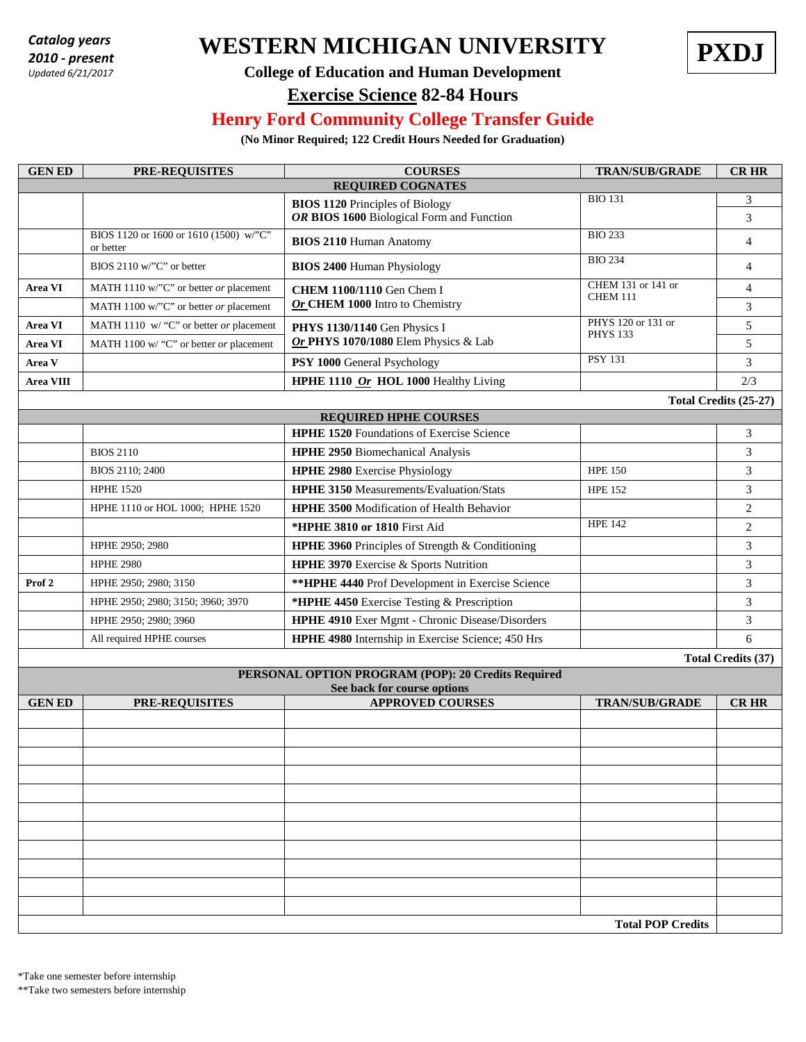*2010 - present Updated 6/21/2017*

# **WESTERN MICHIGAN UNIVERSITY PXDJ** *Catalog years*



#### **College of Education and Human Development**

#### **Exercise Science 82-84 Hours**

### **Henry Ford Community College Transfer Guide**

**(No Minor Required; 122 Credit Hours Needed for Graduation)**

| <b>GENED</b>                                       | PRE-REQUISITES                                      | <b>COURSES</b>                                                                      | <b>TRAN/SUB/GRADE</b>                 | <b>CR HR</b>   |  |  |  |  |  |
|----------------------------------------------------|-----------------------------------------------------|-------------------------------------------------------------------------------------|---------------------------------------|----------------|--|--|--|--|--|
| <b>REQUIRED COGNATES</b>                           |                                                     |                                                                                     |                                       |                |  |  |  |  |  |
|                                                    |                                                     | <b>BIOS 1120 Principles of Biology</b><br>OR BIOS 1600 Biological Form and Function | <b>BIO 131</b>                        | 3<br>3         |  |  |  |  |  |
|                                                    | BIOS 1120 or 1600 or 1610 (1500) w/"C"<br>or better | <b>BIOS 2110 Human Anatomy</b>                                                      | <b>BIO 233</b>                        | 4              |  |  |  |  |  |
|                                                    | BIOS 2110 w/"C" or better                           | <b>BIOS 2400 Human Physiology</b>                                                   | <b>BIO 234</b>                        | 4              |  |  |  |  |  |
| Area VI                                            | MATH 1110 w/"C" or better or placement              | <b>CHEM 1100/1110</b> Gen Chem I                                                    | CHEM 131 or 141 or<br><b>CHEM 111</b> | 4              |  |  |  |  |  |
|                                                    | MATH 1100 w/"C" or better or placement              | Or CHEM 1000 Intro to Chemistry                                                     |                                       | 3              |  |  |  |  |  |
| Area VI                                            | MATH 1110 w/ "C" or better or placement             | PHYS 120 or 131 or<br>PHYS 1130/1140 Gen Physics I<br><b>PHYS 133</b>               |                                       | 5              |  |  |  |  |  |
| Area VI                                            | MATH 1100 w/ "C" or better or placement             | Or PHYS 1070/1080 Elem Physics & Lab                                                |                                       | 5              |  |  |  |  |  |
| Area V                                             |                                                     | PSY 1000 General Psychology                                                         | <b>PSY 131</b>                        | 3              |  |  |  |  |  |
| Area VIII                                          |                                                     | HPHE 1110 Or HOL 1000 Healthy Living                                                |                                       | 2/3            |  |  |  |  |  |
| Total Credits (25-27)                              |                                                     |                                                                                     |                                       |                |  |  |  |  |  |
|                                                    |                                                     | <b>REQUIRED HPHE COURSES</b>                                                        |                                       |                |  |  |  |  |  |
|                                                    |                                                     | <b>HPHE 1520</b> Foundations of Exercise Science                                    |                                       | 3              |  |  |  |  |  |
|                                                    | <b>BIOS 2110</b>                                    | HPHE 2950 Biomechanical Analysis                                                    |                                       | 3              |  |  |  |  |  |
|                                                    | BIOS 2110; 2400                                     | <b>HPHE 2980</b> Exercise Physiology                                                | <b>HPE 150</b>                        | 3              |  |  |  |  |  |
|                                                    | <b>HPHE 1520</b>                                    | <b>HPHE 3150 Measurements/Evaluation/Stats</b>                                      | <b>HPE 152</b>                        | 3              |  |  |  |  |  |
|                                                    | HPHE 1110 or HOL 1000; HPHE 1520                    | <b>HPHE 3500 Modification of Health Behavior</b>                                    |                                       | $\mathfrak{2}$ |  |  |  |  |  |
|                                                    |                                                     | *HPHE 3810 or 1810 First Aid                                                        | <b>HPE 142</b>                        | $\sqrt{2}$     |  |  |  |  |  |
|                                                    | HPHE 2950; 2980                                     | HPHE 3960 Principles of Strength & Conditioning                                     |                                       | 3              |  |  |  |  |  |
|                                                    | <b>HPHE 2980</b>                                    | HPHE 3970 Exercise & Sports Nutrition                                               |                                       | 3              |  |  |  |  |  |
| Prof <sub>2</sub>                                  | HPHE 2950; 2980; 3150                               | ** HPHE 4440 Prof Development in Exercise Science                                   |                                       | 3              |  |  |  |  |  |
|                                                    | HPHE 2950; 2980; 3150; 3960; 3970                   | *HPHE 4450 Exercise Testing & Prescription                                          |                                       | 3              |  |  |  |  |  |
|                                                    | HPHE 2950; 2980; 3960                               | HPHE 4910 Exer Mgmt - Chronic Disease/Disorders                                     |                                       | 3              |  |  |  |  |  |
|                                                    | All required HPHE courses                           | HPHE 4980 Internship in Exercise Science; 450 Hrs                                   |                                       | 6              |  |  |  |  |  |
|                                                    | <b>Total Credits (37)</b>                           |                                                                                     |                                       |                |  |  |  |  |  |
| PERSONAL OPTION PROGRAM (POP): 20 Credits Required |                                                     |                                                                                     |                                       |                |  |  |  |  |  |
| <b>GENED</b>                                       | <b>PRE-REQUISITES</b>                               | See back for course options<br><b>APPROVED COURSES</b>                              | <b>TRAN/SUB/GRADE</b>                 | <b>CRHR</b>    |  |  |  |  |  |
|                                                    |                                                     |                                                                                     |                                       |                |  |  |  |  |  |
|                                                    |                                                     |                                                                                     |                                       |                |  |  |  |  |  |
|                                                    |                                                     |                                                                                     |                                       |                |  |  |  |  |  |
|                                                    |                                                     |                                                                                     |                                       |                |  |  |  |  |  |
|                                                    |                                                     |                                                                                     |                                       |                |  |  |  |  |  |
|                                                    |                                                     |                                                                                     |                                       |                |  |  |  |  |  |
|                                                    |                                                     |                                                                                     |                                       |                |  |  |  |  |  |
|                                                    |                                                     |                                                                                     |                                       |                |  |  |  |  |  |
|                                                    |                                                     |                                                                                     |                                       |                |  |  |  |  |  |
|                                                    |                                                     |                                                                                     |                                       |                |  |  |  |  |  |
|                                                    |                                                     |                                                                                     |                                       |                |  |  |  |  |  |
|                                                    |                                                     |                                                                                     |                                       |                |  |  |  |  |  |
| <b>Total POP Credits</b>                           |                                                     |                                                                                     |                                       |                |  |  |  |  |  |